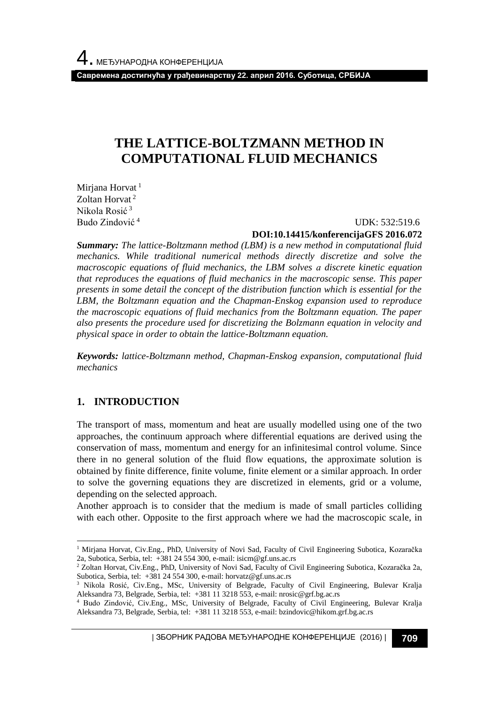# **THE LATTICE-BOLTZMANN METHOD IN COMPUTATIONAL FLUID MECHANICS**

Mirjana Horvat<sup>1</sup> Zoltan Horvat<sup>2</sup> Nikola Rosić <sup>3</sup> Budo Zindović <sup>4</sup>

#### UDK: 532:519.6 **DOI:10.14415/konferencijaGFS 2016.072**

*Summary: The lattice-Boltzmann method (LBM) is a new method in computational fluid mechanics. While traditional numerical methods directly discretize and solve the macroscopic equations of fluid mechanics, the LBM solves а discrete kinetic equation that reproduces the equations of fluid mechanics in the macroscopic sense. This paper presents in some detail the concept of the distribution function which is essential for the LBM, the Boltzmann equation and the Chapman-Enskog expansion used to reproduce the macroscopic equations of fluid mechanics from the Boltzmann equation. The paper also presents the procedure used for discretizing the Bolzmann equation in velocity and physical space in order to obtain the lattice-Boltzmann equation.*

*Keywords: lattice-Boltzmann method, Chapman-Enskog expansion, computational fluid mechanics*

# **1. INTRODUCTION**

l

The transport of mass, momentum and heat are usually modelled using one of the two approaches, the continuum approach where differential equations are derived using the conservation of mass, momentum and energy for an infinitesimal control volume. Since there in no general solution of the fluid flow equations, the approximate solution is obtained by finite difference, finite volume, finite element or a similar approach. In order to solve the governing equations they are discretized in elements, grid or a volume, depending on the selected approach.

Another approach is to consider that the medium is made of small particles colliding with each other. Opposite to the first approach where we had the macroscopic scale, in

| ЗБОРНИК РАДОВА МЕЂУНАРОДНЕ КОНФЕРЕНЦИЈЕ (2016) | **709**

<sup>1</sup> Mirjana Horvat, Civ.Eng., PhD, University of Novi Sad, Faculty of Civil Engineering Subotica, Kozaračka 2a, Subotica, Serbia, tel: +381 24 554 300, e-mail: isicm@gf.uns.ac.rs

<sup>2</sup> Zoltan Horvat, Civ.Eng., PhD, University of Novi Sad, Faculty of Civil Engineering Subotica, Kozaračka 2a, Subotica, Serbia, tel: +381 24 554 300, e-mail: horvatz@gf.uns.ac.rs

<sup>&</sup>lt;sup>3</sup> Nikola Rosić, Civ.Eng., MSc, University of Belgrade, Faculty of Civil Engineering, Bulevar Kralja Aleksandra 73, Belgrade, Serbia, tel: +381 11 3218 553, e-mail: nrosic@grf.bg.ac.rs

<sup>4</sup> Budo Zindović, Civ.Eng., MSc, University of Belgrade, Faculty of Civil Engineering, Bulevar Kralja Aleksandra 73, Belgrade, Serbia, tel: +381 11 3218 553, e-mail: bzindovic@hikom.grf.bg.ac.rs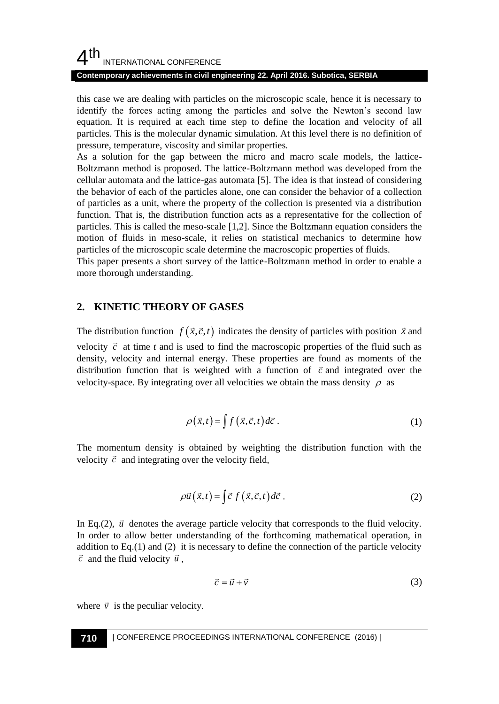# $4<sup>th</sup>$ INTERNATIONAL CONFERENCE

#### **Contemporary achievements in civil engineering 22. April 2016. Subotica, SERBIA**

this case we are dealing with particles on the microscopic scale, hence it is necessary to identify the forces acting among the particles and solve the Newton's second law equation. It is required at each time step to define the location and velocity of all particles. This is the molecular dynamic simulation. At this level there is no definition of pressure, temperature, viscosity and similar properties.

As a solution for the gap between the micro and macro scale models, the lattice-Boltzmann method is proposed. The lattice-Boltzmann method was developed from the cellular automata and the lattice-gas automata [5]. The idea is that instead of considering the behavior of each of the particles alone, one can consider the behavior of a collection of particles as a unit, where the property of the collection is presented via a distribution function. That is, the distribution function acts as a representative for the collection of particles. This is called the meso-scale [1,2]. Since the Boltzmann equation considers the motion of fluids in meso-scale, it relies on statistical mechanics to determine how particles of the microscopic scale determine the macroscopic properties of fluids.

This paper presents a short survey of the lattice-Boltzmann method in order to enable a more thorough understanding.

# **2. KINETIC THEORY OF GASES**

The distribution function  $f(\vec{x}, \vec{c}, t)$  indicates the density of particles with position  $\vec{x}$  and velocity  $\vec{c}$  at time *t* and is used to find the macroscopic properties of the fluid such as density, velocity and internal energy. These properties are found as moments of the distribution function that is weighted with a function of  $\vec{c}$  and integrated over the velocity-space. By integrating over all velocities we obtain the mass density  $\rho$  as

$$
\rho(\vec{x},t) = \int f(\vec{x},\vec{c},t) d\vec{c} . \tag{1}
$$

The momentum density is obtained by weighting the distribution function with the velocity  $\vec{c}$  and integrating over the velocity field,

$$
\rho \vec{u}(\vec{x},t) = \int \vec{c} \, f(\vec{x},\vec{c},t) d\vec{c} \,. \tag{2}
$$

In Eq.(2),  $\vec{u}$  denotes the average particle velocity that corresponds to the fluid velocity. In order to allow better understanding of the forthcoming mathematical operation, in addition to  $Eq.(1)$  and  $(2)$  it is necessary to define the connection of the particle velocity  $\vec{c}$  and the fluid velocity  $\vec{u}$ ,

$$
\vec{c} = \vec{u} + \vec{v} \tag{3}
$$

where  $\vec{v}$  is the peculiar velocity.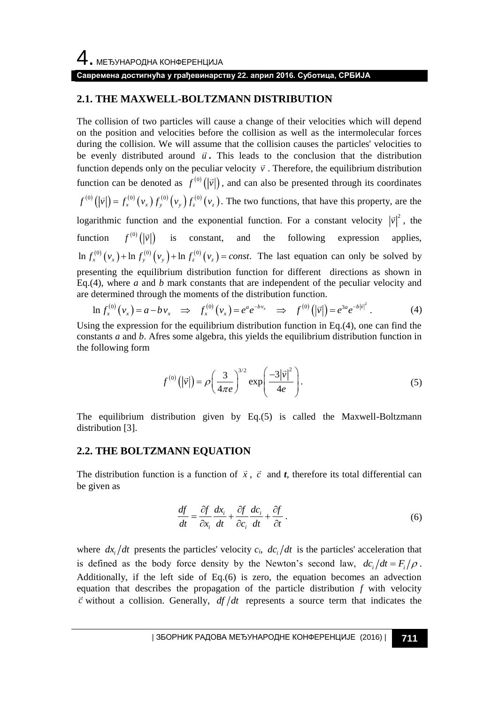#### **2.1. THE MAXWELL-BOLTZMANN DISTRIBUTION**

The collision of two particles will cause a change of their velocities which will depend on the position and velocities before the collision as well as the intermolecular forces during the collision. We will assume that the collision causes the particles' velocities to be evenly distributed around  $\vec{u}$ . This leads to the conclusion that the distribution function depends only on the peculiar velocity  $\vec{v}$ . Therefore, the equilibrium distribution function can be denoted as  $f^{(0)}(|\vec{v}|)$ , and can also be presented through its coordinates  $\left( \begin{pmatrix} 0 \\ \vec{v} \end{pmatrix} \right) = f_x^{(0)}(v_x) f_y^{(0)}(v_y) f_z^{(0)}(v_z)$  $f^{(0)}(|\vec{v}|) = f_x^{(0)}(v_x) f_y^{(0)}(v_y) f_z^{(0)}(v_z)$ . The two functions, that have this property, are the logarithmic function and the exponential function. For a constant velocity  $|\vec{v}|^2$ , the function  $f^{(0)}(|\vec{v}|)$  is constant, and the following expression applies,  $\ln f_x^{(0)}(v_x) + \ln f_y^{(0)}(v_y) + \ln f_z^{(0)}(v_z) = const.$  The last equation can only be solved by presenting the equilibrium distribution function for different directions as shown in Eq.(4), where *a* and *b* mark constants that are independent of the peculiar velocity and are determined through the moments of the distribution function.<br>  $\ln f_x^{(0)}(v_x) = a - bv_x \implies f_x^{(0)}(v_x) = e^a e^{-bv_x} \implies f^{(0)}(|\vec{v}|) = e^{3a} e^{-b$ Eq.(4), where *a* and *b* mark constants that are independent of the peculiare determined through the moments of the distribution function.<br>  $\ln f_x^{(0)}(v_x) = a - bv_x \implies f_x^{(0)}(v_x) = e^a e^{-bv_x} \implies f^{(0)}(|\vec{v}|) = e^{3a} e^{-b|\vec{v}|}$ 

$$
\ln f_x^{(0)}(v_x) = a - b v_x \implies f_x^{(0)}(v_x) = e^a e^{-b v_x} \implies f^{(0)}(|\vec{v}|) = e^{3a} e^{-b|\vec{v}|^2}.
$$
 (4)

Using the expression for the equilibrium distribution function in Eq.(4), one can find the constants *a* and *b*. Afres some algebra, this yields the equilibrium distribution function in the following form

$$
f^{(0)}\left(|\vec{v}|\right) = \rho \left(\frac{3}{4\pi e}\right)^{3/2} \exp\left(\frac{-3|\vec{v}|^2}{4e}\right). \tag{5}
$$

The equilibrium distribution given by Eq.(5) is called the Maxwell-Boltzmann distribution [3].

#### **2.2. THE BOLTZMANN EQUATION**

The distribution function is a function of  $\vec{x}$ ,  $\vec{c}$  and *t*, therefore its total differential can be given as

$$
\frac{df}{dt} = \frac{\partial f}{\partial x_i} \frac{dx_i}{dt} + \frac{\partial f}{\partial c_i} \frac{dc_i}{dt} + \frac{\partial f}{\partial t}.
$$
\n(6)

where  $dx_i/dt$  presents the particles' velocity  $c_i$ ,  $dc_i/dt$  is the particles' acceleration that is defined as the body force density by the Newton's second law,  $dc_i/dt = F_i/\rho$ . Additionally, if the left side of Eq.(6) is zero, the equation becomes an advection equation that describes the propagation of the particle distribution *f* with velocity  $\vec{c}$  without a collision. Generally,  $df/dt$  represents a source term that indicates the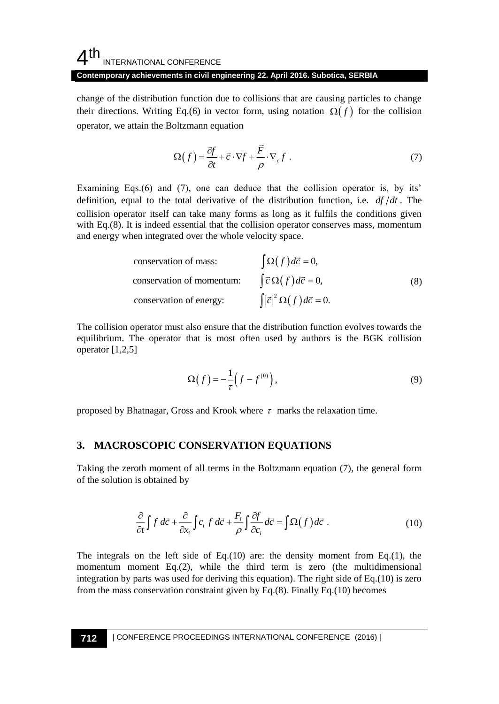# $4<sup>th</sup>$ INTERNATIONAL CONFERENCE

#### **Contemporary achievements in civil engineering 22. April 2016. Subotica, SERBIA**

change of the distribution function due to collisions that are causing particles to change their directions. Writing Eq.(6) in vector form, using notation  $\Omega(f)$  for the collision operator, we attain the Boltzmann equation

$$
\Omega(f) = \frac{\partial f}{\partial t} + \vec{c} \cdot \nabla f + \frac{\vec{F}}{\rho} \cdot \nabla_c f \tag{7}
$$

Examining Eqs.(6) and (7), one can deduce that the collision operator is, by its' definition, equal to the total derivative of the distribution function, i.e. *df dt* . The collision operator itself can take many forms as long as it fulfils the conditions given with Eq.(8). It is indeed essential that the collision operator conserves mass, momentum and energy when integrated over the whole velocity space.

conservation of mass: 
$$
\int \Omega(f) d\vec{c} = 0,
$$
  
conservation of momentum: 
$$
\int \vec{c} \Omega(f) d\vec{c} = 0,
$$
 (8)  
conservation of energy: 
$$
\int |\vec{c}|^2 \Omega(f) d\vec{c} = 0.
$$

The collision operator must also ensure that the distribution function evolves towards the equilibrium. The operator that is most often used by authors is the BGK collision operator [1,2,5]

$$
\Omega(f) = -\frac{1}{\tau} \left( f - f^{(0)} \right),\tag{9}
$$

proposed by Bhatnagar, Gross and Krook where  $\tau$  marks the relaxation time.

# **3. MACROSCOPIC CONSERVATION EQUATIONS**

Taking the zeroth moment of all terms in the Boltzmann equation (7), the general form of the solution is obtained by

$$
\frac{\partial}{\partial t} \int f \, d\vec{c} + \frac{\partial}{\partial x_i} \int c_i \, f \, d\vec{c} + \frac{F_i}{\rho} \int \frac{\partial f}{\partial c_i} d\vec{c} = \int \Omega(f) \, d\vec{c} \; . \tag{10}
$$

The integrals on the left side of Eq.(10) are: the density moment from Eq.(1), the momentum moment  $Eq.(2)$ , while the third term is zero (the multidimensional integration by parts was used for deriving this equation). The right side of Eq.(10) is zero from the mass conservation constraint given by Eq.(8). Finally Eq.(10) becomes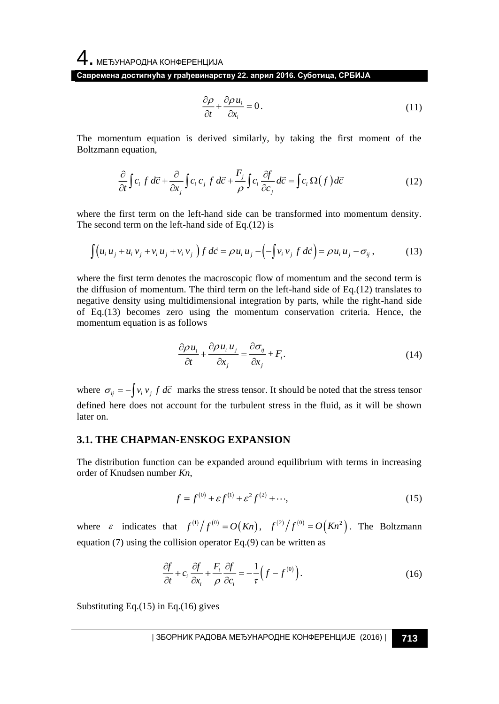$$
\frac{\partial \rho}{\partial t} + \frac{\partial \rho u_i}{\partial x_i} = 0.
$$
\n(11)

The momentum equation is derived similarly, by taking the first moment of the Boltzmann equation,

$$
\frac{\partial}{\partial t} \int c_i f \, d\vec{c} + \frac{\partial}{\partial x_j} \int c_i \, c_j \, f \, d\vec{c} + \frac{F_j}{\rho} \int c_i \frac{\partial f}{\partial c_j} \, d\vec{c} = \int c_i \, \Omega(f) \, d\vec{c} \tag{12}
$$

where the first term on the left-hand side can be transformed into momentum density. The second term on the left-hand side of Eq.(12) is

$$
\int (u_i u_j + u_i v_j + v_i u_j + v_i v_j) f d\vec{c} = \rho u_i u_j - \left( -\int v_i v_j f d\vec{c} \right) = \rho u_i u_j - \sigma_{ij},
$$
\n(13)

where the first term denotes the macroscopic flow of momentum and the second term is the diffusion of momentum. The third term on the left-hand side of Eq.(12) translates to negative density using multidimensional integration by parts, while the right-hand side of Eq.(13) becomes zero using the momentum conservation criteria. Hence, the momentum equation is as follows

$$
\frac{\partial \rho u_i}{\partial t} + \frac{\partial \rho u_i u_j}{\partial x_j} = \frac{\partial \sigma_{ij}}{\partial x_j} + F_i.
$$
 (14)

where  $\sigma_{ij} = -\int v_i v_j f d\vec{c}$  marks the stress tensor. It should be noted that the stress tensor defined here does not account for the turbulent stress in the fluid, as it will be shown later on.

#### **3.1. THE CHAPMAN-ENSKOG EXPANSION**

The distribution function can be expanded around equilibrium with terms in increasing order of Knudsen number *Kn*,

$$
f = f^{(0)} + \varepsilon f^{(1)} + \varepsilon^2 f^{(2)} + \cdots,
$$
 (15)

where  $\varepsilon$  indicates that  $f^{(1)}/f^{(0)} = O(Kn)$ ,  $f^{(2)}/f^{(0)} = O(Kn^2)$ . The Boltzmann equation (7) using the collision operator Eq.(9) can be written as

$$
\frac{\partial f}{\partial t} + c_i \frac{\partial f}{\partial x_i} + \frac{F_i}{\rho} \frac{\partial f}{\partial c_i} = -\frac{1}{\tau} \left( f - f^{(0)} \right). \tag{16}
$$

Substituting Eq.(15) in Eq.(16) gives

| ЗБОРНИК РАДОВА МЕЂУНАРОДНЕ КОНФЕРЕНЦИЈЕ (2016) | **713**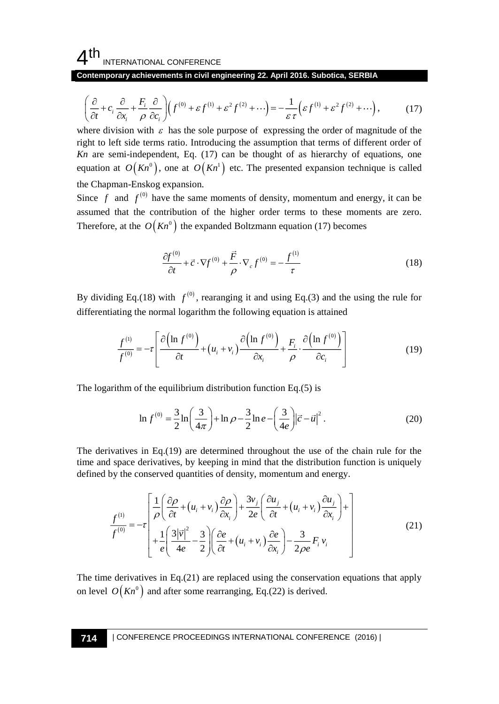#### 4 th INTERNATIONAL CONFERENCE

Contemporary achievements in civil engineering 22. April 2016. Subotica, SERBIA  
\n
$$
\left(\frac{\partial}{\partial t} + c_i \frac{\partial}{\partial x_i} + \frac{F_i}{\rho} \frac{\partial}{\partial c_i}\right) \left(f^{(0)} + \varepsilon f^{(1)} + \varepsilon^2 f^{(2)} + \cdots\right) = -\frac{1}{\varepsilon \tau} \left(\varepsilon f^{(1)} + \varepsilon^2 f^{(2)} + \cdots\right),\tag{17}
$$

where division with  $\varepsilon$  has the sole purpose of expressing the order of magnitude of the right to left side terms ratio. Introducing the assumption that terms of different order of *Kn* are semi-independent, Eq. (17) can be thought of as hierarchy of equations, one equation at  $O(Kn^0)$ , one at  $O(Kn^1)$  etc. The presented expansion technique is called the Chapman-Enskog expansion.

Since  $f$  and  $f^{(0)}$  have the same moments of density, momentum and energy, it can be assumed that the contribution of the higher order terms to these moments are zero. Therefore, at the  $O(Kn^0)$  the expanded Boltzmann equation (17) becomes

$$
\frac{\partial f^{(0)}}{\partial t} + \vec{c} \cdot \nabla f^{(0)} + \frac{\vec{F}}{\rho} \cdot \nabla_c f^{(0)} = -\frac{f^{(1)}}{\tau}
$$
\n(18)

By dividing Eq.(18) with  $f^{(0)}$ , rearanging it and using Eq.(3) and the using the rule for differentiating the normal logarithm the following equation is attained

$$
\frac{f^{(1)}}{f^{(0)}} = -\tau \left[ \frac{\partial \left( \ln f^{(0)} \right)}{\partial t} + \left( u_i + v_i \right) \frac{\partial \left( \ln f^{(0)} \right)}{\partial x_i} + \frac{F_i}{\rho} \cdot \frac{\partial \left( \ln f^{(0)} \right)}{\partial c_i} \right]
$$
(19)

The logarithm of the equilibrium distribution function Eq.(5) is

$$
\ln f^{(0)} = \frac{3}{2} \ln \left( \frac{3}{4\pi} \right) + \ln \rho - \frac{3}{2} \ln e - \left( \frac{3}{4e} \right) \left| \vec{c} - \vec{u} \right|^2.
$$
 (20)

The derivatives in Eq.(19) are determined throughout the use of the chain rule for the time and space derivatives, by keeping in mind that the distribution function is uniquely defined by the conserved quantities of density, momentum and energy.

$$
\frac{f^{(1)}}{f^{(0)}} = -\tau \left[ \frac{1}{\rho} \left( \frac{\partial \rho}{\partial t} + (u_i + v_i) \frac{\partial \rho}{\partial x_i} \right) + \frac{3v_j}{2e} \left( \frac{\partial u_j}{\partial t} + (u_i + v_i) \frac{\partial u_j}{\partial x_i} \right) + \frac{1}{e} \left( \frac{3|\vec{v}|^2}{4e} - \frac{3}{2} \right) \left( \frac{\partial e}{\partial t} + (u_i + v_i) \frac{\partial e}{\partial x_i} \right) - \frac{3}{2\rho e} F_i v_i \tag{21}
$$

The time derivatives in Eq.(21) are replaced using the conservation equations that apply on level  $O(Kn^{\circ})$  and after some rearranging, Eq.(22) is derived.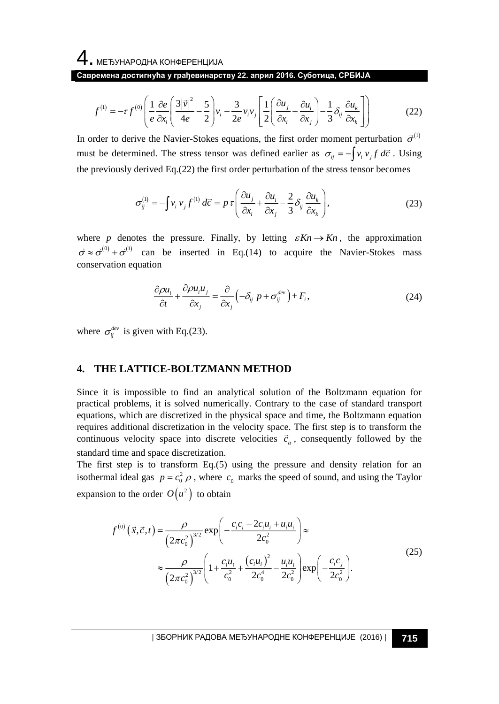4. МЕЂУНАРОДНА КОНФЕРЕНЦИЈА

$$
f^{(1)} = -\tau f^{(0)} \left( \frac{1}{e} \frac{\partial e}{\partial x_i} \left( \frac{3|\vec{v}|^2}{4e} - \frac{5}{2} \right) v_i + \frac{3}{2e} v_i v_j \left[ \frac{1}{2} \left( \frac{\partial u_j}{\partial x_i} + \frac{\partial u_i}{\partial x_j} \right) - \frac{1}{3} \delta_{ij} \frac{\partial u_k}{\partial x_k} \right] \right)
$$
(22)

In order to derive the Navier-Stokes equations, the first order moment perturbation  $\vec{\sigma}^{(1)}$ must be determined. The stress tensor was defined earlier as  $\sigma_{ij} = -\int v_i v_j f d\vec{c}$ . Using the previously derived Eq.(22) the first order perturbation of the stress tensor becomes

$$
\sigma_{ij}^{(1)} = -\int v_i v_j f^{(1)} d\vec{c} = p \tau \left( \frac{\partial u_j}{\partial x_i} + \frac{\partial u_i}{\partial x_j} - \frac{2}{3} \delta_{ij} \frac{\partial u_k}{\partial x_k} \right),
$$
(23)

where p denotes the pressure. Finally, by letting  $\varepsilon Kn \to Kn$ , the approximation  $\vec{\sigma} \approx \vec{\sigma}^{(0)} + \vec{\sigma}^{(1)}$  can be inserted in Eq.(14) to acquire the Navier-Stokes mass conservation equation

$$
\frac{\partial \rho u_i}{\partial t} + \frac{\partial \rho u_i u_j}{\partial x_j} = \frac{\partial}{\partial x_j} \left( -\delta_{ij} \ p + \sigma_{ij}^{dev} \right) + F_i,
$$
\n(24)

where  $\sigma_{ij}^{dev}$  is given with Eq.(23).

#### **4. THE LATTICE-BOLTZMANN METHOD**

Since it is impossible to find an analytical solution of the Boltzmann equation for practical problems, it is solved numerically. Contrary to the case of standard transport equations, which are discretized in the physical space and time, the Boltzmann equation requires additional discretization in the velocity space. The first step is to transform the continuous velocity space into discrete velocities  $\vec{c}_a$ , consequently followed by the standard time and space discretization.

The first step is to transform  $Eq.(5)$  using the pressure and density relation for an isothermal ideal gas  $p = c_0^2 \rho$ , where  $c_0$  marks the speed of sound, and using the Taylor expansion to the order  $O(u^2)$  to obtain

$$
f^{(0)}(\vec{x}, \vec{c}, t) = \frac{\rho}{(2\pi c_0^2)^{3/2}} \exp\left(-\frac{c_i c_i - 2c_i u_i + u_i u_i}{2c_0^2}\right) \approx
$$
  

$$
\approx \frac{\rho}{(2\pi c_0^2)^{3/2}} \left(1 + \frac{c_i u_i}{c_0^2} + \frac{(c_i u_i)^2}{2c_0^4} - \frac{u_i u_i}{2c_0^2}\right) \exp\left(-\frac{c_i c_j}{2c_0^2}\right).
$$
 (25)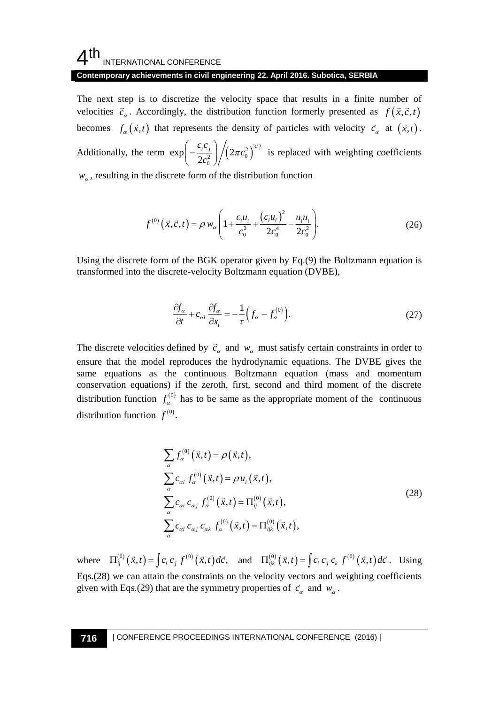## $4<sup>th</sup>$ INTERNATIONAL CONFERENCE

#### **Contemporary achievements in civil engineering 22. April 2016. Subotica, SERBIA**

The next step is to discretize the velocity space that results in a finite number of velocities  $\vec{c}_a$ . Accordingly, the distribution function formerly presented as  $f(\vec{x}, \vec{c}, t)$ becomes  $f_a(\vec{x},t)$  that represents the density of particles with velocity  $\vec{c}_a$  at  $(\vec{x},t)$ .

Additionally, the term  $\exp\left(-\frac{c_i c_j}{2c_0^2}\right) / \left(2\pi c_0^2\right)^{3/2}$  $\exp\left(-\frac{1}{2c_0^2}\right)/(2)$  $\left(-\frac{c_i c_j}{2c_{\circ}^2}\right)$  $\left(2\pi c_j\right)$  $\left(2c_0^2\right)$ is replaced with weighting coefficients

 $w_{\alpha}$ , resulting in the discrete form of the distribution function

$$
f^{(0)}(\vec{x}, \vec{c}, t) = \rho w_{\alpha} \left( 1 + \frac{c_i u_i}{c_0^2} + \frac{(c_i u_i)^2}{2c_0^4} - \frac{u_i u_i}{2c_0^2} \right).
$$
 (26)

Using the discrete form of the BGK operator given by Eq.(9) the Boltzmann equation is transformed into the discrete-velocity Boltzmann equation (DVBE),

$$
\frac{\partial f_{\alpha}}{\partial t} + c_{\alpha i} \frac{\partial f_{\alpha}}{\partial x_{i}} = -\frac{1}{\tau} \Big( f_{\alpha} - f_{\alpha}^{(0)} \Big). \tag{27}
$$

The discrete velocities defined by  $\vec{c}_\alpha$  and  $w_\alpha$  must satisfy certain constraints in order to ensure that the model reproduces the hydrodynamic equations. The DVBE gives the same equations as the continuous Boltzmann equation (mass and momentum conservation equations) if the zeroth, first, second and third moment of the discrete distribution function  $f_\alpha^{(0)}$  has to be same as the appropriate moment of the continuous distribution function  $f^{(0)}$ .

$$
\sum_{\alpha} f_{\alpha}^{(0)}(\vec{x},t) = \rho(\vec{x},t),
$$
\n
$$
\sum_{\alpha} c_{\alpha i} f_{\alpha}^{(0)}(\vec{x},t) = \rho u_{i}(\vec{x},t),
$$
\n
$$
\sum_{\alpha} c_{\alpha i} c_{\alpha j} f_{\alpha}^{(0)}(\vec{x},t) = \Pi_{ij}^{(0)}(\vec{x},t),
$$
\n
$$
\sum_{\alpha} c_{\alpha i} c_{\alpha j} c_{\alpha k} f_{\alpha}^{(0)}(\vec{x},t) = \Pi_{ijk}^{(0)}(\vec{x},t),
$$
\n(28)

where  $\Pi_{ij}^{(0)}(\vec{x},t) = \int c_i c_j f^{(0)}(\vec{x},t) d\vec{c}$ , and  $\Pi_{ijk}^{(0)}(\vec{x},t) = \int c_i c_j c_k f^{(0)}(\vec{x},t) d\vec{c}$ . Using Eqs.(28) we can attain the constraints on the velocity vectors and weighting coefficients given with Eqs.(29) that are the symmetry properties of  $\vec{c}_\alpha$  and  $w_\alpha$ .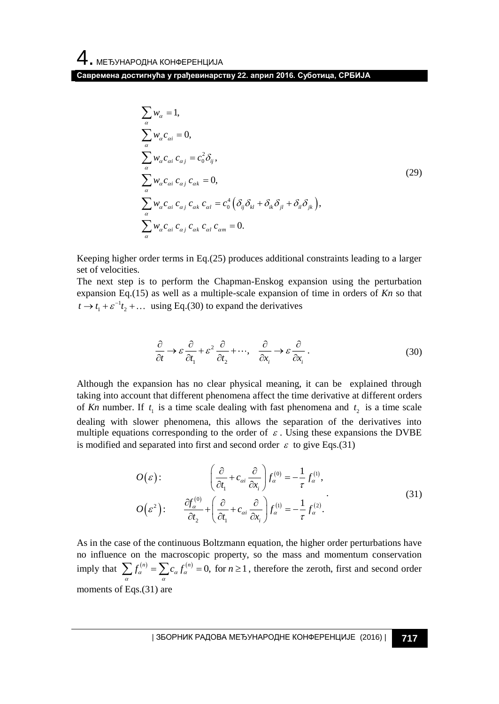$$
\sum_{\alpha} w_{\alpha} = 1,
$$
\n
$$
\sum_{\alpha} w_{\alpha} c_{\alpha i} = 0,
$$
\n
$$
\sum_{\alpha} w_{\alpha} c_{\alpha i} c_{\alpha j} = c_0^2 \delta_{ij},
$$
\n
$$
\sum_{\alpha} w_{\alpha} c_{\alpha i} c_{\alpha j} c_{\alpha k} = 0,
$$
\n
$$
\sum_{\alpha} w_{\alpha} c_{\alpha i} c_{\alpha j} c_{\alpha k} c_{\alpha l} = c_0^4 \left( \delta_{ij} \delta_{kl} + \delta_{ik} \delta_{jl} + \delta_{il} \delta_{jk} \right),
$$
\n
$$
\sum_{\alpha} w_{\alpha} c_{\alpha i} c_{\alpha j} c_{\alpha k} c_{\alpha l} c_{\alpha m} = 0.
$$
\n(29)

Keeping higher order terms in Eq.(25) produces additional constraints leading to a larger set of velocities.

The next step is to perform the Chapman-Enskog expansion using the perturbation expansion Eq.(15) as well as a multiple-scale expansion of time in orders of *Kn* so that  $t \rightarrow t_1 + \varepsilon^{-1} t_2 + \dots$  using Eq.(30) to expand the derivatives

$$
\frac{\partial}{\partial t} \to \varepsilon \frac{\partial}{\partial t_1} + \varepsilon^2 \frac{\partial}{\partial t_2} + \cdots, \quad \frac{\partial}{\partial x_i} \to \varepsilon \frac{\partial}{\partial x_i} \,. \tag{30}
$$

Although the expansion has no clear physical meaning, it can be explained through taking into account that different phenomena affect the time derivative at different orders of *Kn* number. If  $t_1$  is a time scale dealing with fast phenomena and  $t_2$  is a time scale dealing with slower phenomena, this allows the separation of the derivatives into multiple equations corresponding to the order of  $\varepsilon$ . Using these expansions the DVBE is modified and separated into first and second order  $\varepsilon$  to give Eqs.(31)

$$
O(\varepsilon): \qquad \left(\frac{\partial}{\partial t_1} + c_{\alpha i} \frac{\partial}{\partial x_i}\right) f_{\alpha}^{(0)} = -\frac{1}{\tau} f_{\alpha}^{(1)},
$$

$$
O(\varepsilon^2): \qquad \frac{\partial f_{\alpha}^{(0)}}{\partial t_2} + \left(\frac{\partial}{\partial t_1} + c_{\alpha i} \frac{\partial}{\partial x_i}\right) f_{\alpha}^{(1)} = -\frac{1}{\tau} f_{\alpha}^{(2)}.
$$

$$
(31)
$$

As in the case of the continuous Boltzmann equation, the higher order perturbations have no influence on the macroscopic property, so the mass and momentum conservation imply that  $\sum_{\alpha} f_{\alpha}^{(n)} = \sum_{\alpha} c_{\alpha} f_{\alpha}^{(n)} = 0$ , for  $n \ge 1$ , therefore the zeroth, first and second order moments of Eqs.(31) are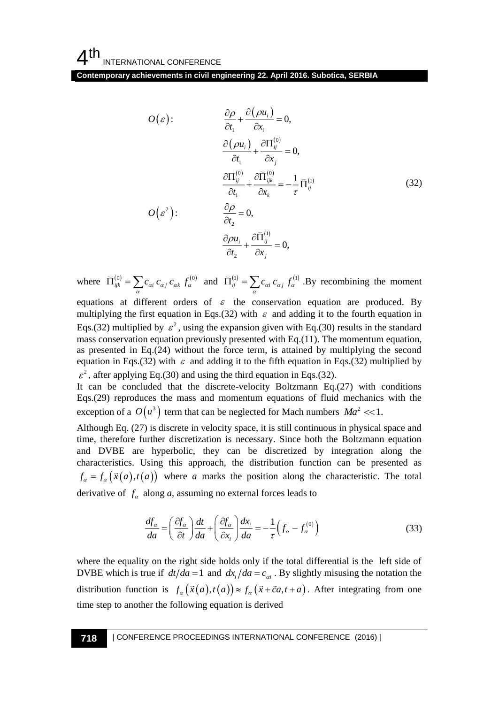**Contemporary achievements in civil engineering 22. April 2016. Subotica, SERBIA**

$$
O(\varepsilon): \frac{\partial \rho}{\partial t_1} + \frac{\partial (\rho u_1)}{\partial x_1} = 0,
$$
\n
$$
\frac{\partial (\rho u_1)}{\partial t_1} + \frac{\partial \Pi_{ij}^{(0)}}{\partial x_1} = 0,
$$
\n
$$
\frac{\partial \Pi_{ij}^{(0)}}{\partial t_1} + \frac{\partial \Pi_{ij}^{(0)}}{\partial x_2} = 0,
$$
\n
$$
\frac{\partial \Pi_{ij}^{(0)}}{\partial t_1} + \frac{\partial \Pi_{ij}^{(0)}}{\partial x_2} = -\frac{1}{t} \Pi_{ij}^{(t)}
$$
\n(32)\n
$$
O(\varepsilon^2): \frac{\partial \rho}{\partial t_2} = 0,
$$
\nwhere  $\Pi_{ijk}^{(0)} = \sum_{\alpha} c_{\alpha i} c_{\alpha j} f_{\alpha \alpha}^{(0)}$  and  $\Pi_{ij}^{(t)} = \sum_{\alpha} c_{\alpha i} c_{\alpha j} f_{\alpha}^{(t)}$ . By recombining the moment  
\nquations at different orders of  $\varepsilon$  the conservation equation are produced. By  
\nMultiplying the first equation in Eqs.(32) with  $\varepsilon$  and adding it to the fourth equation in  
\ngas conservation equation previously presented with Eq.(11). The momentum equation,  
\nages.(32) multiplied by  $\varepsilon^2$ , using the expansion given with Eq.(30) results in the standard  
\nmass conservation equation previously presented with Eq.(11). The momentum equation,  
\nspas (22) multiplication in Eqs.(32) without the force term, is attained by multiplying the second  
\nquantum equation in Eq.(24) without the force term, is attained by multiplying the second  
\nquation in Eq.(32) with  $\varepsilon$  and adding it to the fifth equation in Eq.(32) multipplied by  
\n $\varepsilon^2$ , after applying Eq.(30) and using the third equation in Eq.(32).  
\nLet can be concluded that the discrete-velocity Boltzmann eq.(27) with conditions  
\ndiscrepanities. Using this approach, the distribution function can be presented as  
\nthe characteristic. Using this approach, the distribution function can be presented as  
\nthe  $\alpha = f_{\alpha}(\bar{x}(\alpha), t(\alpha))$  where  $a$  marks the position along the characteristic. The total  
\nderivative of  $f_{\alpha}$  along  $a$ , assuming no external forces leads to  
\n
$$
\frac{df_{\alpha}}{d\alpha} = \left(\frac{\partial f_{\alpha}}{\partial t}\right) \frac
$$

where  $\overline{\Pi}_{ijk}^{(0)} = \sum_{\alpha} c_{\alpha i} c_{\alpha j} c_{\alpha k} f_{\alpha}^{(0)}$  and  $\overline{\Pi}_{ij}^{(1)} = \sum_{\alpha} c_{\alpha i} c_{\alpha j} f_{\alpha}^{(1)}$ . By recombining the moment equations at different orders of  $\varepsilon$  the conservation equation are produced. By multiplying the first equation in Eqs.(32) with  $\varepsilon$  and adding it to the fourth equation in Eqs.(32) multiplied by  $\varepsilon^2$ , using the expansion given with Eq.(30) results in the standard mass conservation equation previously presented with Eq.(11). The momentum equation, as presented in Eq.(24) without the force term, is attained by multiplying the second equation in Eqs.(32) with  $\varepsilon$  and adding it to the fifth equation in Eqs.(32) multiplied by  $\varepsilon^2$ , after applying Eq.(30) and using the third equation in Eqs.(32).

It can be concluded that the discrete-velocity Boltzmann Eq.(27) with conditions Eqs.(29) reproduces the mass and momentum equations of fluid mechanics with the exception of a  $O(u^3)$  term that can be neglected for Mach numbers  $Ma^2 \ll 1$ .

Although Eq. (27) is discrete in velocity space, it is still continuous in physical space and time, therefore further discretization is necessary. Since both the Boltzmann equation and DVBE are hyperbolic, they can be discretized by integration along the characteristics. Using this approach, the distribution function can be presented as  $f_a = f_a(\vec{x}(a), t(a))$  where *a* marks the position along the characteristic. The total derivative of  $f_a$  along *a*, assuming no external forces leads to

$$
\frac{df_{\alpha}}{da} = \left(\frac{\partial f_{\alpha}}{\partial t}\right) \frac{dt}{da} + \left(\frac{\partial f_{\alpha}}{\partial x_i}\right) \frac{dx_i}{da} = -\frac{1}{\tau} \left(f_{\alpha} - f_{\alpha}^{(0)}\right)
$$
\n(33)

where the equality on the right side holds only if the total differential is the left side of DVBE which is true if  $dt/da = 1$  and  $dx_i/da = c_{ai}$ . By slightly misusing the notation the distribution function is  $f_a(\vec{x}(a), t(a)) \approx f_a(\vec{x} + \vec{c}a, t + a)$ . After integrating from one time step to another the following equation is derived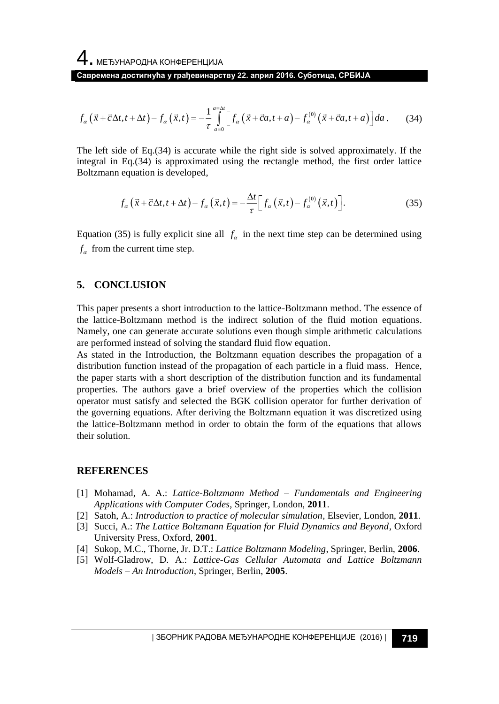4. МЕЂУНАРОДНА КОНФЕРЕНЦИЈА **Савремена достигнућа у грађевинарству 22. април 2016. Суботица, СРБИЈА**

$$
f_{\alpha}\left(\vec{x}+\vec{c}\Delta t,t+\Delta t\right)-f_{\alpha}\left(\vec{x},t\right)=-\frac{1}{\tau}\int_{a=0}^{a=\Delta t}\left[f_{\alpha}\left(\vec{x}+\vec{c}a,t+a\right)-f_{\alpha}^{(0)}\left(\vec{x}+\vec{c}a,t+a\right)\right]da\,. \tag{34}
$$

The left side of Eq.(34) is accurate while the right side is solved approximately. If the integral in Eq.(34) is approximated using the rectangle method, the first order lattice Boltzmann equation is developed,

$$
f_{\alpha}\left(\vec{x}+\vec{c}\Delta t,t+\Delta t\right)-f_{\alpha}\left(\vec{x},t\right)=-\frac{\Delta t}{\tau}\left[f_{\alpha}\left(\vec{x},t\right)-f_{\alpha}^{(0)}\left(\vec{x},t\right)\right].
$$
\n(35)

Equation (35) is fully explicit sine all  $f_a$  in the next time step can be determined using  $f_{\alpha}$  from the current time step.

#### **5. CONCLUSION**

This paper presents a short introduction to the lattice-Boltzmann method. The essence of the lattice-Boltzmann method is the indirect solution of the fluid motion equations. Namely, one can generate accurate solutions even though simple arithmetic calculations are performed instead of solving the standard fluid flow equation.

As stated in the Introduction, the Boltzmann equation describes the propagation of a distribution function instead of the propagation of each particle in a fluid mass. Hence, the paper starts with a short description of the distribution function and its fundamental properties. The authors gave a brief overview of the properties which the collision operator must satisfy and selected the BGK collision operator for further derivation of the governing equations. After deriving the Boltzmann equation it was discretized using the lattice-Boltzmann method in order to obtain the form of the equations that allows their solution.

#### **REFERENCES**

- [1] Mohamad, A. A.: *Lattice-Boltzmann Method – Fundamentals and Engineering Applications with Computer Codes*, Springer, London, **2011**.
- [2] Satoh, A.: *Introduction to practice of molecular simulation*, Elsevier, London, **2011**.
- [3] Succi, A.: *The Lattice Boltzmann Equation for Fluid Dynamics and Beyond*, Oxford University Press, Oxford, **2001**.
- [4] Sukop, M.C., Thorne, Jr. D.T.: *Lattice Boltzmann Modeling*, Springer, Berlin, **2006**.
- [5] Wolf-Gladrow, D. A.: *Lattice-Gas Cellular Automata and Lattice Boltzmann Models – An Introduction*, Springer, Berlin, **2005**.